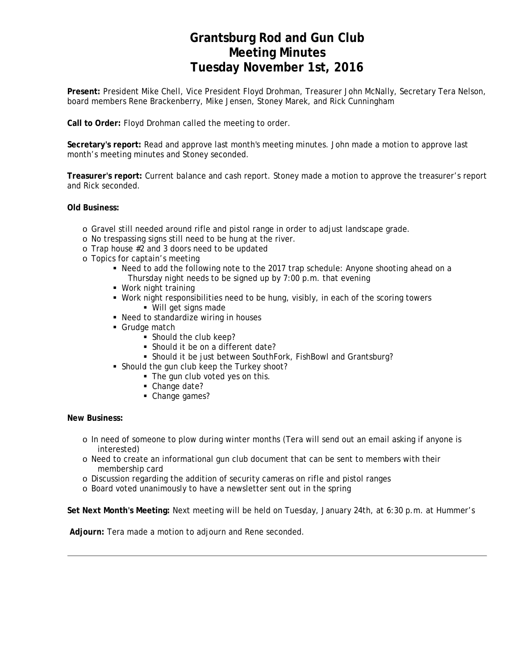# **Grantsburg Rod and Gun Club Meeting Minutes Tuesday November 1st, 2016**

**Present:** President Mike Chell, Vice President Floyd Drohman, Treasurer John McNally, Secretary Tera Nelson, board members Rene Brackenberry, Mike Jensen, Stoney Marek, and Rick Cunningham

**Call to Order:** Floyd Drohman called the meeting to order.

**Secretary's report:** Read and approve last month's meeting minutes. John made a motion to approve last month's meeting minutes and Stoney seconded.

**Treasurer's report:** Current balance and cash report. Stoney made a motion to approve the treasurer's report and Rick seconded.

**Old Business:**

- o Gravel still needed around rifle and pistol range in order to adjust landscape grade.
- o No trespassing signs still need to be hung at the river.
- o Trap house #2 and 3 doors need to be updated
- o Topics for captain's meeting
	- Need to add the following note to the 2017 trap schedule: Anyone shooting ahead on a Thursday night needs to be signed up by 7:00 p.m. that evening
	- Work night training
	- Work night responsibilities need to be hung, visibly, in each of the scoring towers Will get signs made
	- Need to standardize wiring in houses
	- **Grudge match** 
		- Should the club keep?
		- Should it be on a different date?
		- Should it be just between SouthFork, FishBowl and Grantsburg?
	- **Should the gun club keep the Turkey shoot?** 
		- The gun club voted yes on this.
		- Change date?
		- Change games?

### **New Business:**

- o In need of someone to plow during winter months (Tera will send out an email asking if anyone is interested)
- o Need to create an informational gun club document that can be sent to members with their membership card
- o Discussion regarding the addition of security cameras on rifle and pistol ranges
- o Board voted unanimously to have a newsletter sent out in the spring

**Set Next Month's Meeting:** Next meeting will be held on Tuesday, January 24th, at 6:30 p.m. at Hummer's

 **Adjourn:** Tera made a motion to adjourn and Rene seconded.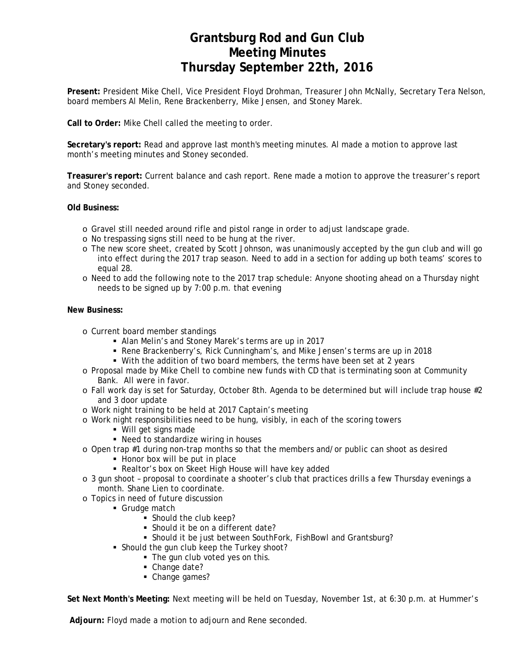# **Grantsburg Rod and Gun Club Meeting Minutes Thursday September 22th, 2016**

**Present:** President Mike Chell, Vice President Floyd Drohman, Treasurer John McNally, Secretary Tera Nelson, board members Al Melin, Rene Brackenberry, Mike Jensen, and Stoney Marek.

**Call to Order:** Mike Chell called the meeting to order.

**Secretary's report:** Read and approve last month's meeting minutes. Al made a motion to approve last month's meeting minutes and Stoney seconded.

**Treasurer's report:** Current balance and cash report. Rene made a motion to approve the treasurer's report and Stoney seconded.

**Old Business:**

- o Gravel still needed around rifle and pistol range in order to adjust landscape grade.
- o No trespassing signs still need to be hung at the river.
- o The new score sheet, created by Scott Johnson, was unanimously accepted by the gun club and will go into effect during the 2017 trap season. Need to add in a section for adding up both teams' scores to equal 28.
- o Need to add the following note to the 2017 trap schedule: Anyone shooting ahead on a Thursday night needs to be signed up by 7:00 p.m. that evening

### **New Business:**

- o Current board member standings
	- Alan Melin's and Stoney Marek's terms are up in 2017
	- Rene Brackenberry's, Rick Cunningham's, and Mike Jensen's terms are up in 2018
	- With the addition of two board members, the terms have been set at 2 years
- o Proposal made by Mike Chell to combine new funds with CD that is terminating soon at Community Bank. All were in favor.
- o Fall work day is set for Saturday, October 8th. Agenda to be determined but will include trap house #2 and 3 door update
- o Work night training to be held at 2017 Captain's meeting
- o Work night responsibilities need to be hung, visibly, in each of the scoring towers
	- Will get signs made
	- Need to standardize wiring in houses
- o Open trap #1 during non-trap months so that the members and/or public can shoot as desired
	- Honor box will be put in place
	- Realtor's box on Skeet High House will have key added
- o 3 gun shoot proposal to coordinate a shooter's club that practices drills a few Thursday evenings a month. Shane Lien to coordinate.
- o Topics in need of future discussion
	- Grudge match
		- **Should the club keep?**
		- Should it be on a different date?
		- Should it be just between SouthFork, FishBowl and Grantsburg?
	- **Should the gun club keep the Turkey shoot?** 
		- The gun club voted yes on this.
		- Change date?
		- Change games?

**Set Next Month's Meeting:** Next meeting will be held on Tuesday, November 1st, at 6:30 p.m. at Hummer's

**Adjourn:** Floyd made a motion to adjourn and Rene seconded.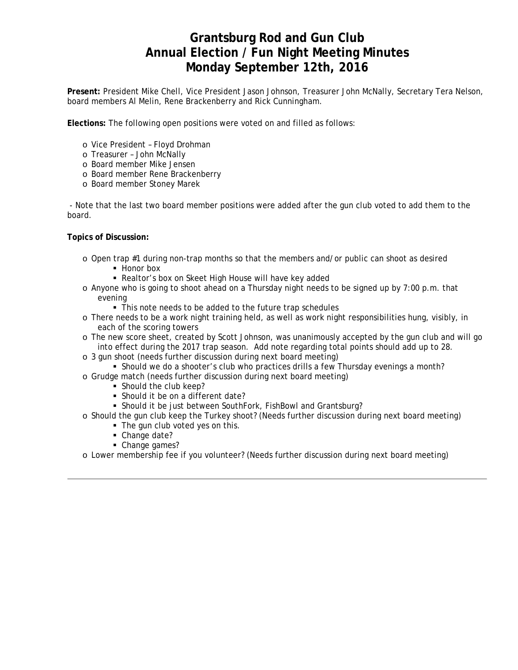### **Grantsburg Rod and Gun Club Annual Election / Fun Night Meeting Minutes Monday September 12th, 2016**

**Present:** President Mike Chell, Vice President Jason Johnson, Treasurer John McNally, Secretary Tera Nelson, board members Al Melin, Rene Brackenberry and Rick Cunningham.

**Elections:** The following open positions were voted on and filled as follows:

- o Vice President Floyd Drohman
- o Treasurer John McNally
- o Board member Mike Jensen
- o Board member Rene Brackenberry
- o Board member Stoney Marek

 - Note that the last two board member positions were added after the gun club voted to add them to the board.

**Topics of Discussion:**

- $\circ$  Open trap #1 during non-trap months so that the members and/or public can shoot as desired
	- Honor box
	- Realtor's box on Skeet High House will have key added
- o Anyone who is going to shoot ahead on a Thursday night needs to be signed up by 7:00 p.m. that evening
	- This note needs to be added to the future trap schedules
- o There needs to be a work night training held, as well as work night responsibilities hung, visibly, in each of the scoring towers
- o The new score sheet, created by Scott Johnson, was unanimously accepted by the gun club and will go into effect during the 2017 trap season. Add note regarding total points should add up to 28.
- o 3 gun shoot (needs further discussion during next board meeting)
	- **Should we do a shooter's club who practices drills a few Thursday evenings a month?**
- o Grudge match (needs further discussion during next board meeting)
	- Should the club keep?
		- Should it be on a different date?
	- Should it be just between SouthFork, FishBowl and Grantsburg?
- o Should the gun club keep the Turkey shoot? (Needs further discussion during next board meeting)
	- The gun club voted yes on this.
		- Change date?
	- Change games?
- o Lower membership fee if you volunteer? (Needs further discussion during next board meeting)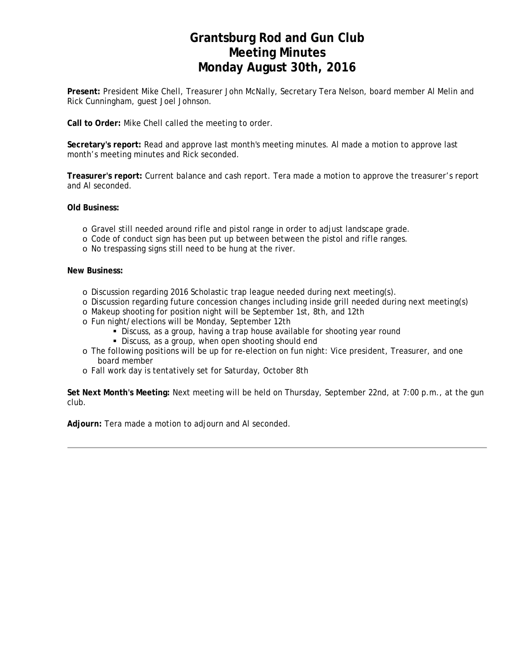# **Grantsburg Rod and Gun Club Meeting Minutes Monday August 30th, 2016**

**Present:** President Mike Chell, Treasurer John McNally, Secretary Tera Nelson, board member Al Melin and Rick Cunningham, guest Joel Johnson.

**Call to Order:** Mike Chell called the meeting to order.

**Secretary's report:** Read and approve last month's meeting minutes. Al made a motion to approve last month's meeting minutes and Rick seconded.

**Treasurer's report:** Current balance and cash report. Tera made a motion to approve the treasurer's report and Al seconded.

**Old Business:**

- o Gravel still needed around rifle and pistol range in order to adjust landscape grade.
- o Code of conduct sign has been put up between between the pistol and rifle ranges.
- o No trespassing signs still need to be hung at the river.

#### **New Business:**

- o Discussion regarding 2016 Scholastic trap league needed during next meeting(s).
- o Discussion regarding future concession changes including inside grill needed during next meeting(s)
- o Makeup shooting for position night will be September 1st, 8th, and 12th
- o Fun night/elections will be Monday, September 12th
	- Discuss, as a group, having a trap house available for shooting year round
	- Discuss, as a group, when open shooting should end
- o The following positions will be up for re-election on fun night: Vice president, Treasurer, and one board member
- o Fall work day is tentatively set for Saturday, October 8th

**Set Next Month's Meeting:** Next meeting will be held on Thursday, September 22nd, at 7:00 p.m., at the gun club.

**Adjourn:** Tera made a motion to adjourn and Al seconded.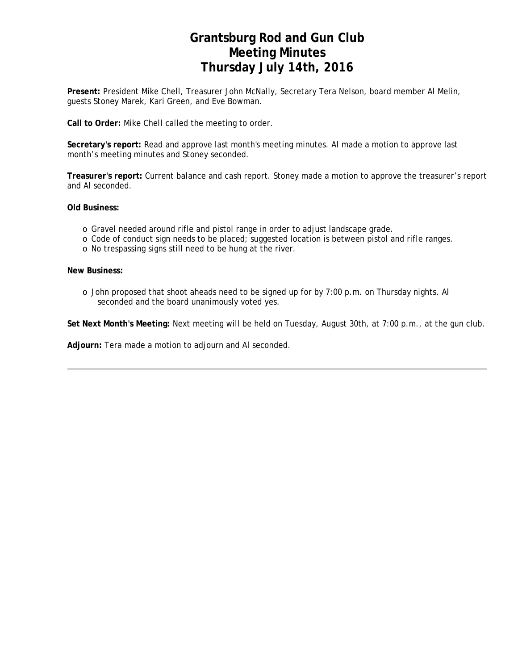# **Grantsburg Rod and Gun Club Meeting Minutes Thursday July 14th, 2016**

**Present:** President Mike Chell, Treasurer John McNally, Secretary Tera Nelson, board member Al Melin, guests Stoney Marek, Kari Green, and Eve Bowman.

**Call to Order:** Mike Chell called the meeting to order.

**Secretary's report:** Read and approve last month's meeting minutes. Al made a motion to approve last month's meeting minutes and Stoney seconded.

**Treasurer's report:** Current balance and cash report. Stoney made a motion to approve the treasurer's report and Al seconded.

**Old Business:**

- o Gravel needed around rifle and pistol range in order to adjust landscape grade.
- o Code of conduct sign needs to be placed; suggested location is between pistol and rifle ranges.
- o No trespassing signs still need to be hung at the river.

**New Business:**

o John proposed that shoot aheads need to be signed up for by 7:00 p.m. on Thursday nights. Al seconded and the board unanimously voted yes.

**Set Next Month's Meeting:** Next meeting will be held on Tuesday, August 30th, at 7:00 p.m., at the gun club.

**Adjourn:** Tera made a motion to adjourn and Al seconded.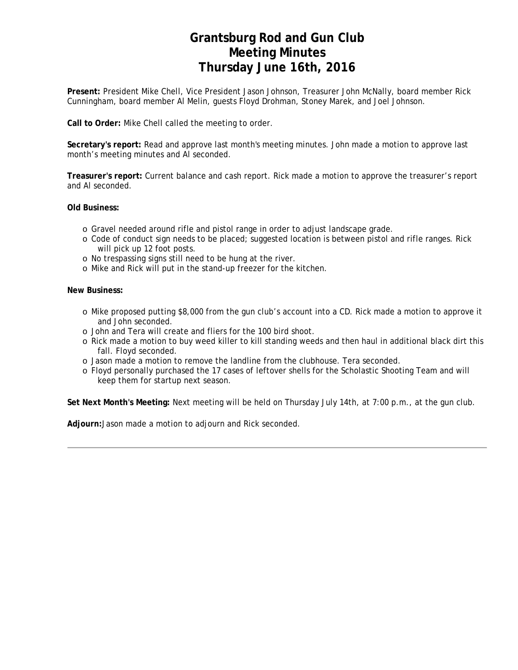# **Grantsburg Rod and Gun Club Meeting Minutes Thursday June 16th, 2016**

**Present:** President Mike Chell, Vice President Jason Johnson, Treasurer John McNally, board member Rick Cunningham, board member Al Melin, guests Floyd Drohman, Stoney Marek, and Joel Johnson.

**Call to Order:** Mike Chell called the meeting to order.

**Secretary's report:** Read and approve last month's meeting minutes. John made a motion to approve last month's meeting minutes and Al seconded.

**Treasurer's report:** Current balance and cash report. Rick made a motion to approve the treasurer's report and Al seconded.

**Old Business:**

- o Gravel needed around rifle and pistol range in order to adjust landscape grade.
- o Code of conduct sign needs to be placed; suggested location is between pistol and rifle ranges. Rick will pick up 12 foot posts.
- o No trespassing signs still need to be hung at the river.
- o Mike and Rick will put in the stand-up freezer for the kitchen.

### **New Business:**

- o Mike proposed putting \$8,000 from the gun club's account into a CD. Rick made a motion to approve it and John seconded.
- o John and Tera will create and fliers for the 100 bird shoot.
- o Rick made a motion to buy weed killer to kill standing weeds and then haul in additional black dirt this fall. Floyd seconded.
- o Jason made a motion to remove the landline from the clubhouse. Tera seconded.
- o Floyd personally purchased the 17 cases of leftover shells for the Scholastic Shooting Team and will keep them for startup next season.

**Set Next Month's Meeting:** Next meeting will be held on Thursday July 14th, at 7:00 p.m., at the gun club.

**Adjourn:**Jason made a motion to adjourn and Rick seconded.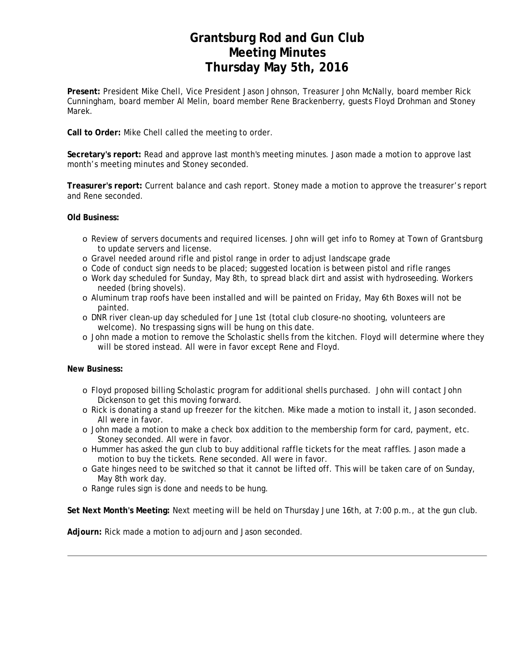## **Grantsburg Rod and Gun Club Meeting Minutes Thursday May 5th, 2016**

**Present:** President Mike Chell, Vice President Jason Johnson, Treasurer John McNally, board member Rick Cunningham, board member Al Melin, board member Rene Brackenberry, guests Floyd Drohman and Stoney Marek.

**Call to Order:** Mike Chell called the meeting to order.

**Secretary's report:** Read and approve last month's meeting minutes. Jason made a motion to approve last month's meeting minutes and Stoney seconded.

**Treasurer's report:** Current balance and cash report. Stoney made a motion to approve the treasurer's report and Rene seconded.

### **Old Business:**

- o Review of servers documents and required licenses. John will get info to Romey at Town of Grantsburg to update servers and license.
- o Gravel needed around rifle and pistol range in order to adjust landscape grade
- o Code of conduct sign needs to be placed; suggested location is between pistol and rifle ranges
- o Work day scheduled for Sunday, May 8th, to spread black dirt and assist with hydroseeding. Workers needed (bring shovels).
- o Aluminum trap roofs have been installed and will be painted on Friday, May 6th Boxes will not be painted.
- o DNR river clean-up day scheduled for June 1st (total club closure-no shooting, volunteers are welcome). No trespassing signs will be hung on this date.
- o John made a motion to remove the Scholastic shells from the kitchen. Floyd will determine where they will be stored instead. All were in favor except Rene and Floyd.

### **New Business:**

- o Floyd proposed billing Scholastic program for additional shells purchased. John will contact John Dickenson to get this moving forward.
- o Rick is donating a stand up freezer for the kitchen. Mike made a motion to install it, Jason seconded. All were in favor.
- o John made a motion to make a check box addition to the membership form for card, payment, etc. Stoney seconded. All were in favor.
- o Hummer has asked the gun club to buy additional raffle tickets for the meat raffles. Jason made a motion to buy the tickets. Rene seconded. All were in favor.
- o Gate hinges need to be switched so that it cannot be lifted off. This will be taken care of on Sunday, May 8th work day.
- o Range rules sign is done and needs to be hung.

**Set Next Month's Meeting:** Next meeting will be held on Thursday June 16th, at 7:00 p.m., at the gun club.

**Adjourn:** Rick made a motion to adjourn and Jason seconded.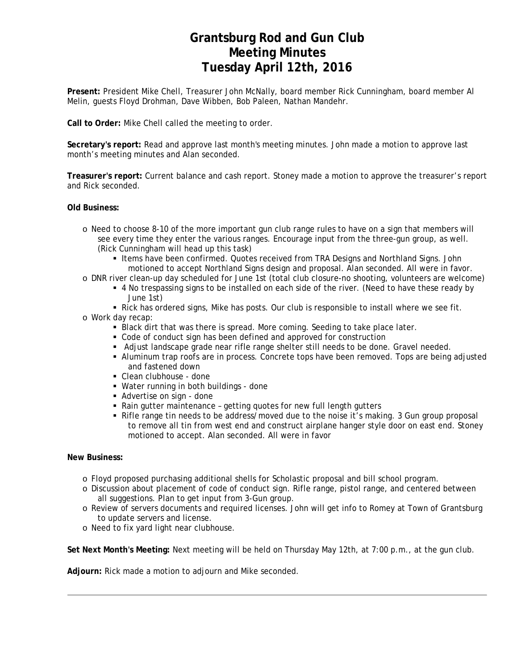# **Grantsburg Rod and Gun Club Meeting Minutes Tuesday April 12th, 2016**

**Present:** President Mike Chell, Treasurer John McNally, board member Rick Cunningham, board member Al Melin, guests Floyd Drohman, Dave Wibben, Bob Paleen, Nathan Mandehr.

**Call to Order:** Mike Chell called the meeting to order.

**Secretary's report:** Read and approve last month's meeting minutes. John made a motion to approve last month's meeting minutes and Alan seconded.

**Treasurer's report:** Current balance and cash report. Stoney made a motion to approve the treasurer's report and Rick seconded.

**Old Business:**

- o Need to choose 8-10 of the more important gun club range rules to have on a sign that members will see every time they enter the various ranges. Encourage input from the three-gun group, as well. (Rick Cunningham will head up this task)
	- Items have been confirmed. Quotes received from TRA Designs and Northland Signs. John motioned to accept Northland Signs design and proposal. Alan seconded. All were in favor.
- o DNR river clean-up day scheduled for June 1st (total club closure-no shooting, volunteers are welcome)
	- 4 No trespassing signs to be installed on each side of the river. (Need to have these ready by June 1st)
	- Rick has ordered signs, Mike has posts. Our club is responsible to install where we see fit.
- o Work day recap:
	- Black dirt that was there is spread. More coming. Seeding to take place later.
	- Code of conduct sign has been defined and approved for construction
	- Adjust landscape grade near rifle range shelter still needs to be done. Gravel needed.
	- Aluminum trap roofs are in process. Concrete tops have been removed. Tops are being adjusted and fastened down
	- Clean clubhouse done
	- Water running in both buildings done
	- Advertise on sign done
	- Rain gutter maintenance getting quotes for new full length gutters
	- Rifle range tin needs to be address/moved due to the noise it's making. 3 Gun group proposal to remove all tin from west end and construct airplane hanger style door on east end. Stoney motioned to accept. Alan seconded. All were in favor

### **New Business:**

- o Floyd proposed purchasing additional shells for Scholastic proposal and bill school program.
- o Discussion about placement of code of conduct sign. Rifle range, pistol range, and centered between all suggestions. Plan to get input from 3-Gun group.
- o Review of servers documents and required licenses. John will get info to Romey at Town of Grantsburg to update servers and license.
- o Need to fix yard light near clubhouse.

**Set Next Month's Meeting:** Next meeting will be held on Thursday May 12th, at 7:00 p.m., at the gun club.

**Adjourn:** Rick made a motion to adjourn and Mike seconded.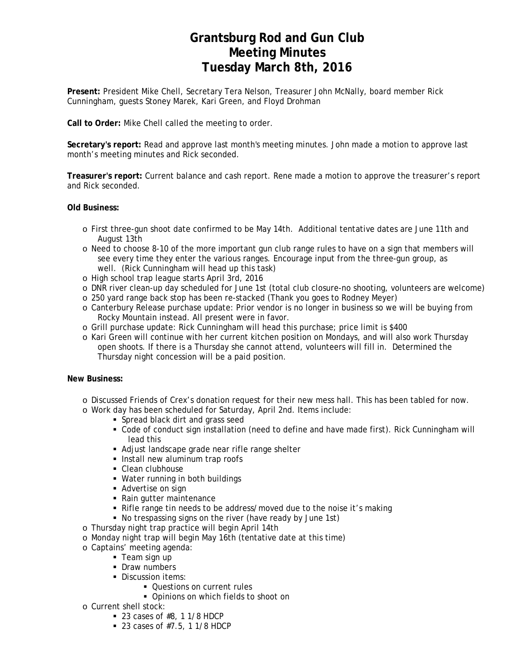# **Grantsburg Rod and Gun Club Meeting Minutes Tuesday March 8th, 2016**

**Present:** President Mike Chell, Secretary Tera Nelson, Treasurer John McNally, board member Rick Cunningham, guests Stoney Marek, Kari Green, and Floyd Drohman

**Call to Order:** Mike Chell called the meeting to order.

**Secretary's report:** Read and approve last month's meeting minutes. John made a motion to approve last month's meeting minutes and Rick seconded.

**Treasurer's report:** Current balance and cash report. Rene made a motion to approve the treasurer's report and Rick seconded.

### **Old Business:**

- o First three-gun shoot date confirmed to be May 14th. Additional tentative dates are June 11th and August 13th
- o Need to choose 8-10 of the more important gun club range rules to have on a sign that members will see every time they enter the various ranges. Encourage input from the three-gun group, as well. (Rick Cunningham will head up this task)
- o High school trap league starts April 3rd, 2016
- o DNR river clean-up day scheduled for June 1st (total club closure-no shooting, volunteers are welcome)
- o 250 yard range back stop has been re-stacked (Thank you goes to Rodney Meyer)
- o Canterbury Release purchase update: Prior vendor is no longer in business so we will be buying from Rocky Mountain instead. All present were in favor.
- o Grill purchase update: Rick Cunningham will head this purchase; price limit is \$400
- o Kari Green will continue with her current kitchen position on Mondays, and will also work Thursday open shoots. If there is a Thursday she cannot attend, volunteers will fill in. Determined the Thursday night concession will be a paid position.

### **New Business:**

- o Discussed Friends of Crex's donation request for their new mess hall. This has been tabled for now.
- o Work day has been scheduled for Saturday, April 2nd. Items include:
	- Spread black dirt and grass seed
	- Code of conduct sign installation (need to define and have made first). Rick Cunningham will lead this
	- Adjust landscape grade near rifle range shelter
	- **Install new aluminum trap roofs**
	- Clean clubhouse
	- Water running in both buildings
	- **Advertise on sign**
	- Rain gutter maintenance
	- Rifle range tin needs to be address/moved due to the noise it's making
	- No trespassing signs on the river (have ready by June 1st)
- o Thursday night trap practice will begin April 14th
- o Monday night trap will begin May 16th (tentative date at this time)
- o Captains' meeting agenda:
	- Team sign up
	- Draw numbers
	- Discussion items:
		- **Questions on current rules**
		- **Opinions on which fields to shoot on**
- o Current shell stock:
	- $-23$  cases of #8, 1 1/8 HDCP
	- 23 cases of  $#7.5$ , 1 1/8 HDCP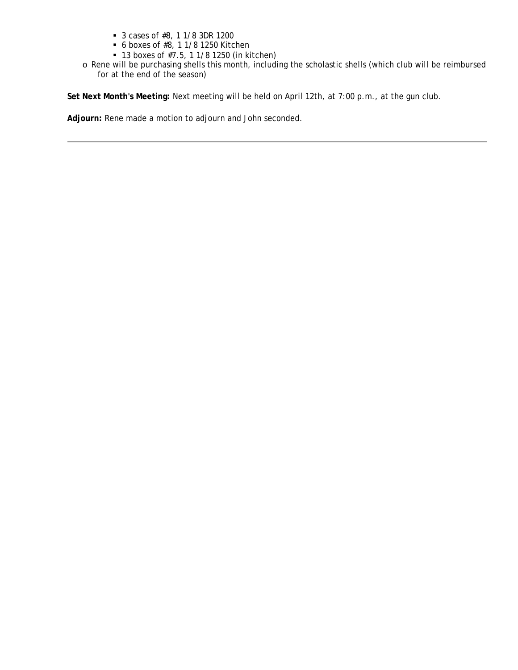- 3 cases of #8, 1 1/8 3DR 1200
- 6 boxes of #8, 1 1/8 1250 Kitchen
- 13 boxes of #7.5, 1 1/8 1250 (in kitchen)
- o Rene will be purchasing shells this month, including the scholastic shells (which club will be reimbursed for at the end of the season)

**Set Next Month's Meeting:** Next meeting will be held on April 12th, at 7:00 p.m., at the gun club.

**Adjourn:** Rene made a motion to adjourn and John seconded.